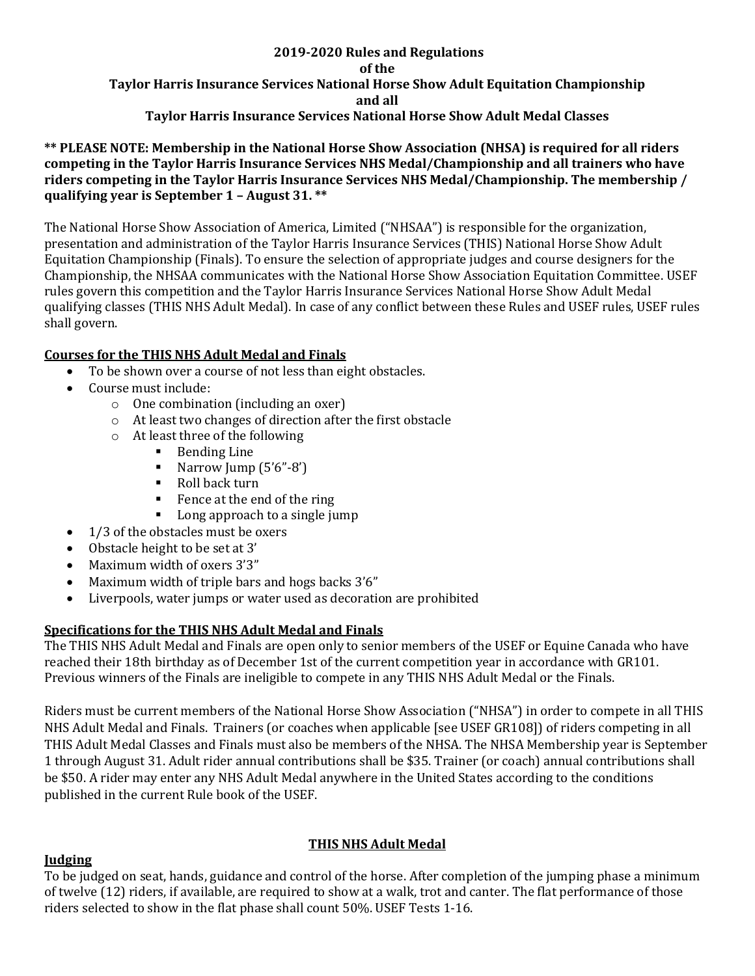#### **2019-2020 Rules and Regulations of the Taylor Harris Insurance Services National Horse Show Adult Equitation Championship and all Taylor Harris Insurance Services National Horse Show Adult Medal Classes**

**\*\* PLEASE NOTE: Membership in the National Horse Show Association (NHSA) is required for all riders competing in the Taylor Harris Insurance Services NHS Medal/Championship and all trainers who have riders competing in the Taylor Harris Insurance Services NHS Medal/Championship. The membership / qualifying year is September 1 – August 31. \*\***

The National Horse Show Association of America, Limited ("NHSAA") is responsible for the organization, presentation and administration of the Taylor Harris Insurance Services (THIS) National Horse Show Adult Equitation Championship (Finals). To ensure the selection of appropriate judges and course designers for the Championship, the NHSAA communicates with the National Horse Show Association Equitation Committee. USEF rules govern this competition and the Taylor Harris Insurance Services National Horse Show Adult Medal qualifying classes (THIS NHS Adult Medal). In case of any conflict between these Rules and USEF rules, USEF rules shall govern.

### **Courses for the THIS NHS Adult Medal and Finals**

- To be shown over a course of not less than eight obstacles.
- Course must include:
	- o One combination (including an oxer)
	- o At least two changes of direction after the first obstacle
	- o At least three of the following
		- Bending Line
		- Narrow Jump (5'6"-8')
		- Roll back turn
		- Fence at the end of the ring
		- Long approach to a single jump
- 1/3 of the obstacles must be oxers
- Obstacle height to be set at 3'
- Maximum width of oxers 3'3"
- Maximum width of triple bars and hogs backs 3'6"
- Liverpools, water jumps or water used as decoration are prohibited

# **Specifications for the THIS NHS Adult Medal and Finals**

The THIS NHS Adult Medal and Finals are open only to senior members of the USEF or Equine Canada who have reached their 18th birthday as of December 1st of the current competition year in accordance with GR101. Previous winners of the Finals are ineligible to compete in any THIS NHS Adult Medal or the Finals.

Riders must be current members of the National Horse Show Association ("NHSA") in order to compete in all THIS NHS Adult Medal and Finals. Trainers (or coaches when applicable [see USEF GR108]) of riders competing in all THIS Adult Medal Classes and Finals must also be members of the NHSA. The NHSA Membership year is September 1 through August 31. Adult rider annual contributions shall be \$35. Trainer (or coach) annual contributions shall be \$50. A rider may enter any NHS Adult Medal anywhere in the United States according to the conditions published in the current Rule book of the USEF.

# **THIS NHS Adult Medal**

### **Judging**

To be judged on seat, hands, guidance and control of the horse. After completion of the jumping phase a minimum of twelve (12) riders, if available, are required to show at a walk, trot and canter. The flat performance of those riders selected to show in the flat phase shall count 50%. USEF Tests 1-16.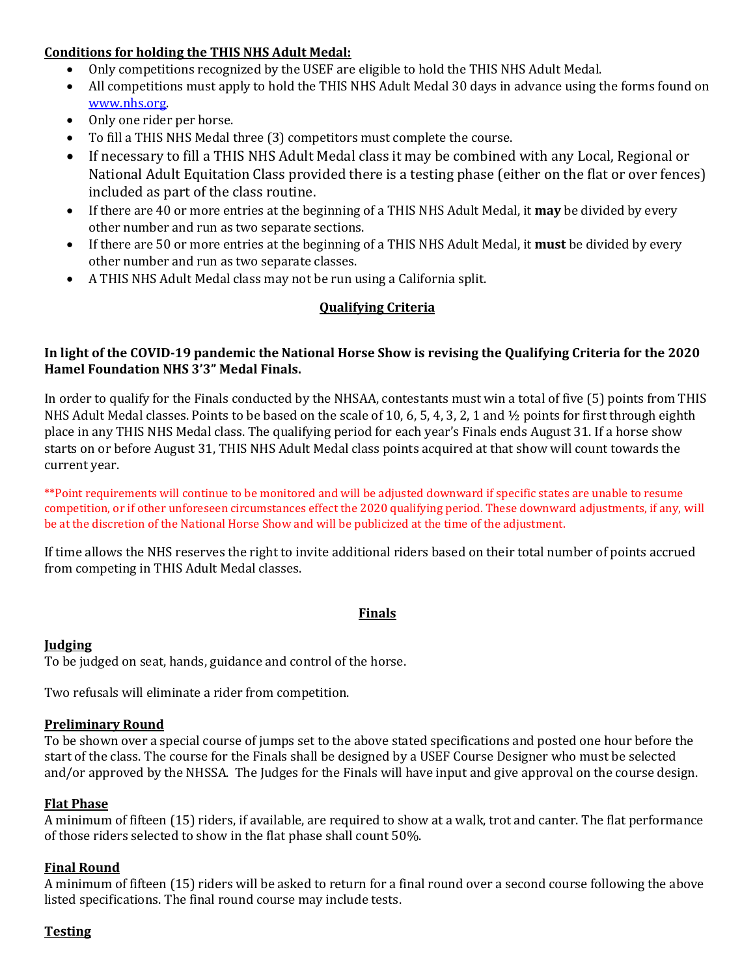## **Conditions for holding the THIS NHS Adult Medal:**

- Only competitions recognized by the USEF are eligible to hold the THIS NHS Adult Medal.
- All competitions must apply to hold the THIS NHS Adult Medal 30 days in advance using the forms found on [www.nhs.org.](http://www.nhs.org/)
- Only one rider per horse.
- To fill a THIS NHS Medal three (3) competitors must complete the course.
- If necessary to fill a THIS NHS Adult Medal class it may be combined with any Local, Regional or National Adult Equitation Class provided there is a testing phase (either on the flat or over fences) included as part of the class routine.
- If there are 40 or more entries at the beginning of a THIS NHS Adult Medal, it **may** be divided by every other number and run as two separate sections.
- If there are 50 or more entries at the beginning of a THIS NHS Adult Medal, it **must** be divided by every other number and run as two separate classes.
- A THIS NHS Adult Medal class may not be run using a California split.

# **Qualifying Criteria**

## **In light of the COVID-19 pandemic the National Horse Show is revising the Qualifying Criteria for the 2020 Hamel Foundation NHS 3'3" Medal Finals.**

In order to qualify for the Finals conducted by the NHSAA, contestants must win a total of five (5) points from THIS NHS Adult Medal classes. Points to be based on the scale of 10, 6, 5, 4, 3, 2, 1 and  $\frac{1}{2}$  points for first through eighth place in any THIS NHS Medal class. The qualifying period for each year's Finals ends August 31. If a horse show starts on or before August 31, THIS NHS Adult Medal class points acquired at that show will count towards the current year.

\*\*Point requirements will continue to be monitored and will be adjusted downward if specific states are unable to resume competition, or if other unforeseen circumstances effect the 2020 qualifying period. These downward adjustments, if any, will be at the discretion of the National Horse Show and will be publicized at the time of the adjustment.

If time allows the NHS reserves the right to invite additional riders based on their total number of points accrued from competing in THIS Adult Medal classes.

# **Finals**

### **Judging**

To be judged on seat, hands, guidance and control of the horse.

Two refusals will eliminate a rider from competition.

# **Preliminary Round**

To be shown over a special course of jumps set to the above stated specifications and posted one hour before the start of the class. The course for the Finals shall be designed by a USEF Course Designer who must be selected and/or approved by the NHSSA. The Judges for the Finals will have input and give approval on the course design.

# **Flat Phase**

A minimum of fifteen (15) riders, if available, are required to show at a walk, trot and canter. The flat performance of those riders selected to show in the flat phase shall count 50%.

# **Final Round**

A minimum of fifteen (15) riders will be asked to return for a final round over a second course following the above listed specifications. The final round course may include tests.

# **Testing**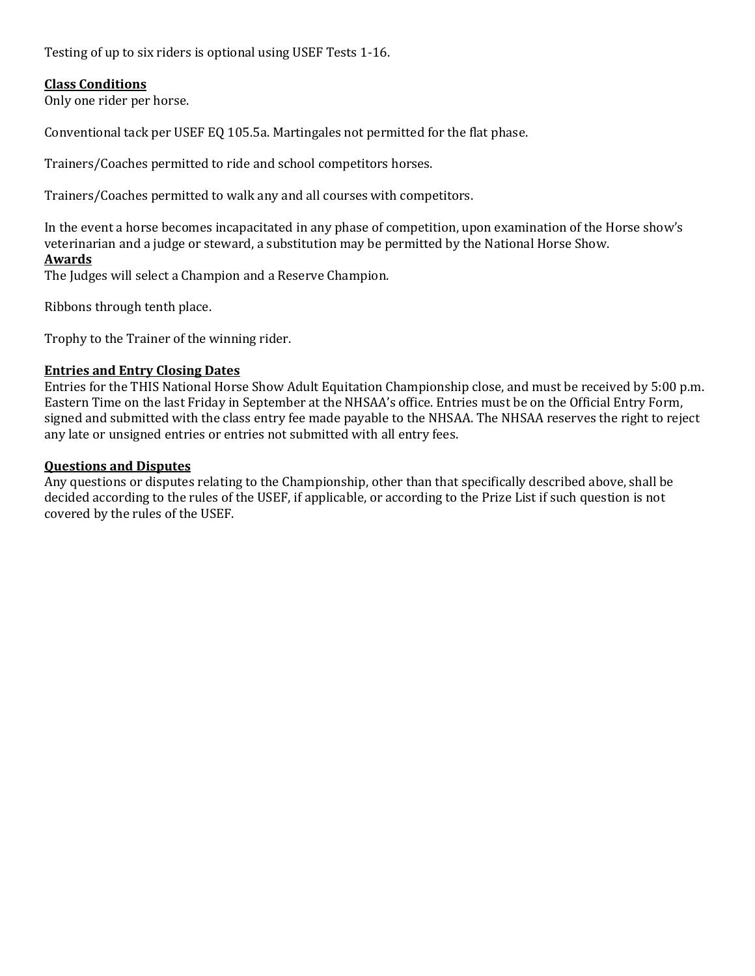Testing of up to six riders is optional using USEF Tests 1-16.

## **Class Conditions**

Only one rider per horse.

Conventional tack per USEF EQ 105.5a. Martingales not permitted for the flat phase.

Trainers/Coaches permitted to ride and school competitors horses.

Trainers/Coaches permitted to walk any and all courses with competitors.

In the event a horse becomes incapacitated in any phase of competition, upon examination of the Horse show's veterinarian and a judge or steward, a substitution may be permitted by the National Horse Show. **Awards**

The Judges will select a Champion and a Reserve Champion.

Ribbons through tenth place.

Trophy to the Trainer of the winning rider.

#### **Entries and Entry Closing Dates**

Entries for the THIS National Horse Show Adult Equitation Championship close, and must be received by 5:00 p.m. Eastern Time on the last Friday in September at the NHSAA's office. Entries must be on the Official Entry Form, signed and submitted with the class entry fee made payable to the NHSAA. The NHSAA reserves the right to reject any late or unsigned entries or entries not submitted with all entry fees.

#### **Questions and Disputes**

Any questions or disputes relating to the Championship, other than that specifically described above, shall be decided according to the rules of the USEF, if applicable, or according to the Prize List if such question is not covered by the rules of the USEF.